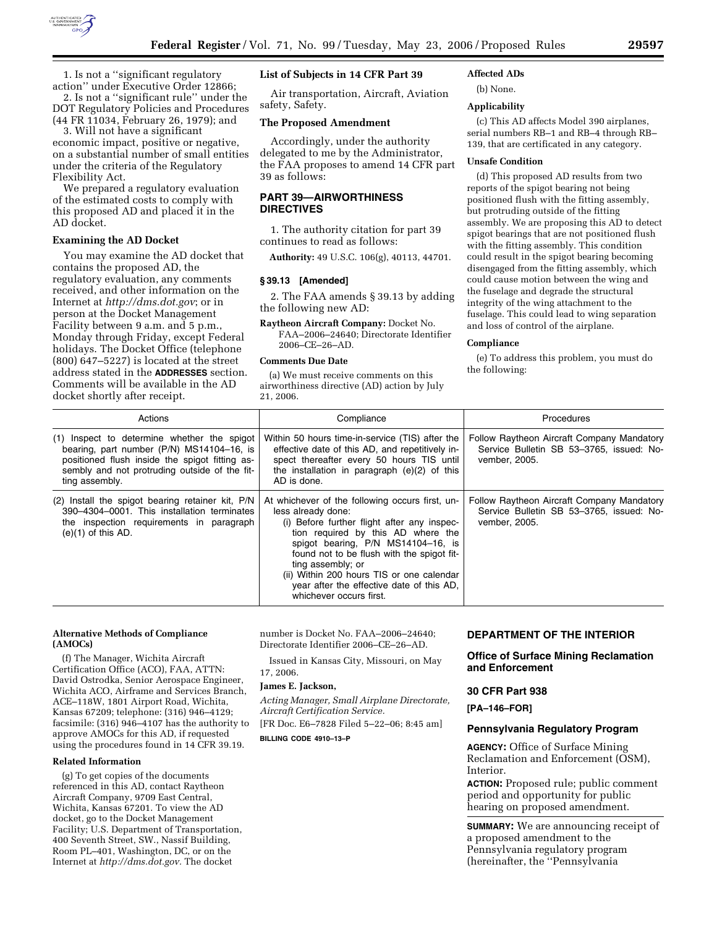

1. Is not a ''significant regulatory action'' under Executive Order 12866;

2. Is not a ''significant rule'' under the DOT Regulatory Policies and Procedures (44 FR 11034, February 26, 1979); and

3. Will not have a significant economic impact, positive or negative, on a substantial number of small entities under the criteria of the Regulatory Flexibility Act.

We prepared a regulatory evaluation of the estimated costs to comply with this proposed AD and placed it in the AD docket.

### **Examining the AD Docket**

You may examine the AD docket that contains the proposed AD, the regulatory evaluation, any comments received, and other information on the Internet at *http://dms.dot.gov*; or in person at the Docket Management Facility between 9 a.m. and 5 p.m., Monday through Friday, except Federal holidays. The Docket Office (telephone (800) 647–5227) is located at the street address stated in the **ADDRESSES** section. Comments will be available in the AD docket shortly after receipt.

## **List of Subjects in 14 CFR Part 39**

Air transportation, Aircraft, Aviation safety, Safety.

# **The Proposed Amendment**

Accordingly, under the authority delegated to me by the Administrator, the FAA proposes to amend 14 CFR part 39 as follows:

## **PART 39—AIRWORTHINESS DIRECTIVES**

1. The authority citation for part 39 continues to read as follows:

**Authority:** 49 U.S.C. 106(g), 40113, 44701.

#### **§ 39.13 [Amended]**

2. The FAA amends § 39.13 by adding the following new AD:

**Raytheon Aircraft Company:** Docket No. FAA–2006–24640; Directorate Identifier 2006–CE–26–AD.

## **Comments Due Date**

(a) We must receive comments on this airworthiness directive (AD) action by July 21, 2006.

## **Affected ADs**

(b) None.

### **Applicability**

(c) This AD affects Model 390 airplanes, serial numbers RB–1 and RB–4 through RB– 139, that are certificated in any category.

#### **Unsafe Condition**

(d) This proposed AD results from two reports of the spigot bearing not being positioned flush with the fitting assembly, but protruding outside of the fitting assembly. We are proposing this AD to detect spigot bearings that are not positioned flush with the fitting assembly. This condition could result in the spigot bearing becoming disengaged from the fitting assembly, which could cause motion between the wing and the fuselage and degrade the structural integrity of the wing attachment to the fuselage. This could lead to wing separation and loss of control of the airplane.

#### **Compliance**

(e) To address this problem, you must do the following:

| Actions                                                                                                                                                                                                       | Compliance                                                                                                                                                                                                                                                                                                                                                                               | <b>Procedures</b>                                                                                       |
|---------------------------------------------------------------------------------------------------------------------------------------------------------------------------------------------------------------|------------------------------------------------------------------------------------------------------------------------------------------------------------------------------------------------------------------------------------------------------------------------------------------------------------------------------------------------------------------------------------------|---------------------------------------------------------------------------------------------------------|
| (1) Inspect to determine whether the spigot<br>bearing, part number (P/N) MS14104-16, is<br>positioned flush inside the spigot fitting as-<br>sembly and not protruding outside of the fit-<br>ting assembly. | Within 50 hours time-in-service (TIS) after the<br>effective date of this AD, and repetitively in-<br>spect thereafter every 50 hours TIS until<br>the installation in paragraph $(e)(2)$ of this<br>AD is done.                                                                                                                                                                         | Follow Raytheon Aircraft Company Mandatory<br>Service Bulletin SB 53-3765, issued: No-<br>vember, 2005. |
| (2) Install the spigot bearing retainer kit, P/N<br>390-4304-0001. This installation terminates<br>the inspection requirements in paragraph<br>$(e)(1)$ of this AD.                                           | At whichever of the following occurs first, un-<br>less already done:<br>(i) Before further flight after any inspec-<br>tion required by this AD where the<br>spigot bearing, P/N MS14104-16, is<br>found not to be flush with the spigot fit-<br>ting assembly; or<br>(ii) Within 200 hours TIS or one calendar<br>year after the effective date of this AD,<br>whichever occurs first. | Follow Raytheon Aircraft Company Mandatory<br>Service Bulletin SB 53-3765, issued: No-<br>vember, 2005. |

#### **Alternative Methods of Compliance (AMOCs)**

(f) The Manager, Wichita Aircraft Certification Office (ACO), FAA, ATTN: David Ostrodka, Senior Aerospace Engineer, Wichita ACO, Airframe and Services Branch, ACE–118W, 1801 Airport Road, Wichita, Kansas 67209; telephone: (316) 946–4129; facsimile: (316) 946–4107 has the authority to approve AMOCs for this AD, if requested using the procedures found in 14 CFR 39.19.

### **Related Information**

(g) To get copies of the documents referenced in this AD, contact Raytheon Aircraft Company, 9709 East Central, Wichita, Kansas 67201. To view the AD docket, go to the Docket Management Facility; U.S. Department of Transportation, 400 Seventh Street, SW., Nassif Building, Room PL–401, Washington, DC, or on the Internet at *http://dms.dot.gov.* The docket

number is Docket No. FAA–2006–24640; Directorate Identifier 2006–CE–26–AD.

Issued in Kansas City, Missouri, on May 17, 2006.

#### **James E. Jackson,**

*Acting Manager, Small Airplane Directorate, Aircraft Certification Service.*  [FR Doc. E6–7828 Filed 5–22–06; 8:45 am]

**BILLING CODE 4910–13–P** 

## **DEPARTMENT OF THE INTERIOR**

# **Office of Surface Mining Reclamation and Enforcement**

### **30 CFR Part 938**

**[PA–146–FOR]** 

### **Pennsylvania Regulatory Program**

**AGENCY:** Office of Surface Mining Reclamation and Enforcement (OSM), Interior.

**ACTION:** Proposed rule; public comment period and opportunity for public hearing on proposed amendment.

**SUMMARY:** We are announcing receipt of a proposed amendment to the Pennsylvania regulatory program (hereinafter, the ''Pennsylvania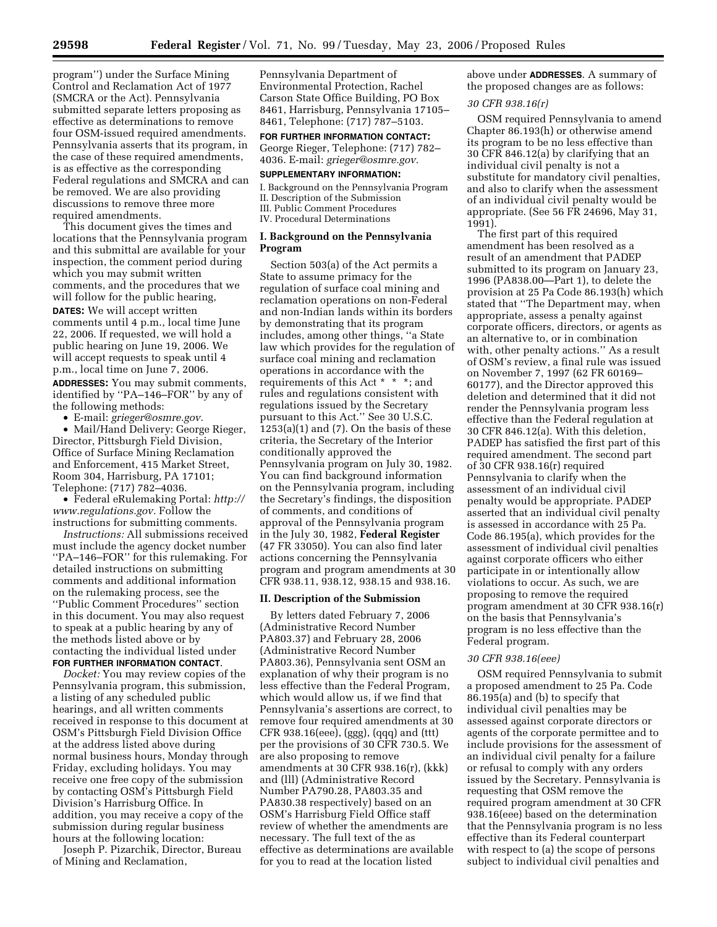four OSM-issued required amendments. Pennsylvania asserts that its program, in the case of these required amendments, is as effective as the corresponding Federal regulations and SMCRA and can be removed. We are also providing discussions to remove three more required amendments.

This document gives the times and locations that the Pennsylvania program and this submittal are available for your inspection, the comment period during which you may submit written comments, and the procedures that we will follow for the public hearing, **DATES:** We will accept written comments until 4 p.m., local time June 22, 2006. If requested, we will hold a public hearing on June 19, 2006. We will accept requests to speak until 4 p.m., local time on June 7, 2006. **ADDRESSES:** You may submit comments, identified by ''PA–146–FOR'' by any of the following methods:

• E-mail: *grieger@osmre.gov.* 

• Mail/Hand Delivery: George Rieger, Director, Pittsburgh Field Division, Office of Surface Mining Reclamation and Enforcement, 415 Market Street, Room 304, Harrisburg, PA 17101; Telephone: (717) 782–4036.

• Federal eRulemaking Portal: *http:// www.regulations.gov.* Follow the instructions for submitting comments.

*Instructions:* All submissions received must include the agency docket number ''PA–146–FOR'' for this rulemaking. For detailed instructions on submitting comments and additional information on the rulemaking process, see the ''Public Comment Procedures'' section in this document. You may also request to speak at a public hearing by any of the methods listed above or by contacting the individual listed under **FOR FURTHER INFORMATION CONTACT**.

*Docket:* You may review copies of the Pennsylvania program, this submission, a listing of any scheduled public hearings, and all written comments received in response to this document at OSM's Pittsburgh Field Division Office at the address listed above during normal business hours, Monday through Friday, excluding holidays. You may receive one free copy of the submission by contacting OSM's Pittsburgh Field Division's Harrisburg Office. In addition, you may receive a copy of the submission during regular business hours at the following location:

Joseph P. Pizarchik, Director, Bureau of Mining and Reclamation,

Pennsylvania Department of Environmental Protection, Rachel Carson State Office Building, PO Box 8461, Harrisburg, Pennsylvania 17105– 8461, Telephone: (717) 787–5103.

**FOR FURTHER INFORMATION CONTACT:**  George Rieger, Telephone: (717) 782– 4036. E-mail: *grieger@osmre.gov.* 

### **SUPPLEMENTARY INFORMATION:**

I. Background on the Pennsylvania Program II. Description of the Submission III. Public Comment Procedures

IV. Procedural Determinations

# **I. Background on the Pennsylvania Program**

Section 503(a) of the Act permits a State to assume primacy for the regulation of surface coal mining and reclamation operations on non-Federal and non-Indian lands within its borders by demonstrating that its program includes, among other things, ''a State law which provides for the regulation of surface coal mining and reclamation operations in accordance with the requirements of this Act \* \* \*; and rules and regulations consistent with regulations issued by the Secretary pursuant to this Act.'' See 30 U.S.C.  $1253(a)(1)$  and  $(7)$ . On the basis of these criteria, the Secretary of the Interior conditionally approved the Pennsylvania program on July 30, 1982. You can find background information on the Pennsylvania program, including the Secretary's findings, the disposition of comments, and conditions of approval of the Pennsylvania program in the July 30, 1982, **Federal Register**  (47 FR 33050). You can also find later actions concerning the Pennsylvania program and program amendments at 30 CFR 938.11, 938.12, 938.15 and 938.16.

### **II. Description of the Submission**

By letters dated February 7, 2006 (Administrative Record Number PA803.37) and February 28, 2006 (Administrative Record Number PA803.36), Pennsylvania sent OSM an explanation of why their program is no less effective than the Federal Program, which would allow us, if we find that Pennsylvania's assertions are correct, to remove four required amendments at 30 CFR 938.16(eee), (ggg), (qqq) and (ttt) per the provisions of 30 CFR 730.5. We are also proposing to remove amendments at 30 CFR 938.16(r), (kkk) and (lll) (Administrative Record Number PA790.28, PA803.35 and PA830.38 respectively) based on an OSM's Harrisburg Field Office staff review of whether the amendments are necessary. The full text of the as effective as determinations are available for you to read at the location listed

above under **ADDRESSES**. A summary of the proposed changes are as follows:

## *30 CFR 938.16(r)*

OSM required Pennsylvania to amend Chapter 86.193(h) or otherwise amend its program to be no less effective than 30 CFR 846.12(a) by clarifying that an individual civil penalty is not a substitute for mandatory civil penalties, and also to clarify when the assessment of an individual civil penalty would be appropriate. (See 56 FR 24696, May 31, 1991).

The first part of this required amendment has been resolved as a result of an amendment that PADEP submitted to its program on January 23, 1996 (PA838.00—Part 1), to delete the provision at 25 Pa Code 86.193(h) which stated that ''The Department may, when appropriate, assess a penalty against corporate officers, directors, or agents as an alternative to, or in combination with, other penalty actions.'' As a result of OSM's review, a final rule was issued on November 7, 1997 (62 FR 60169– 60177), and the Director approved this deletion and determined that it did not render the Pennsylvania program less effective than the Federal regulation at 30 CFR 846.12(a). With this deletion, PADEP has satisfied the first part of this required amendment. The second part of 30 CFR 938.16(r) required Pennsylvania to clarify when the assessment of an individual civil penalty would be appropriate. PADEP asserted that an individual civil penalty is assessed in accordance with 25 Pa. Code 86.195(a), which provides for the assessment of individual civil penalties against corporate officers who either participate in or intentionally allow violations to occur. As such, we are proposing to remove the required program amendment at 30 CFR 938.16(r) on the basis that Pennsylvania's program is no less effective than the Federal program.

#### *30 CFR 938.16(eee)*

OSM required Pennsylvania to submit a proposed amendment to 25 Pa. Code 86.195(a) and (b) to specify that individual civil penalties may be assessed against corporate directors or agents of the corporate permittee and to include provisions for the assessment of an individual civil penalty for a failure or refusal to comply with any orders issued by the Secretary. Pennsylvania is requesting that OSM remove the required program amendment at 30 CFR 938.16(eee) based on the determination that the Pennsylvania program is no less effective than its Federal counterpart with respect to (a) the scope of persons subject to individual civil penalties and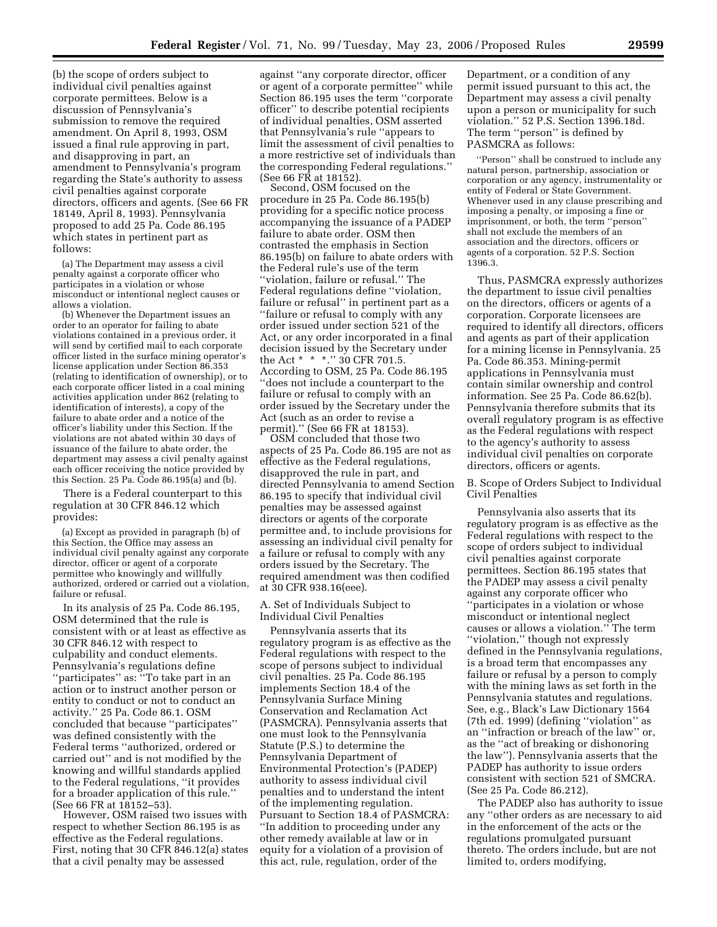(b) the scope of orders subject to individual civil penalties against corporate permittees. Below is a discussion of Pennsylvania's submission to remove the required amendment. On April 8, 1993, OSM issued a final rule approving in part, and disapproving in part, an amendment to Pennsylvania's program regarding the State's authority to assess civil penalties against corporate directors, officers and agents. (See 66 FR 18149, April 8, 1993). Pennsylvania proposed to add 25 Pa. Code 86.195 which states in pertinent part as follows:

(a) The Department may assess a civil penalty against a corporate officer who participates in a violation or whose misconduct or intentional neglect causes or allows a violation.

(b) Whenever the Department issues an order to an operator for failing to abate violations contained in a previous order, it will send by certified mail to each corporate officer listed in the surface mining operator's license application under Section 86.353 (relating to identification of ownership), or to each corporate officer listed in a coal mining activities application under 862 (relating to identification of interests), a copy of the failure to abate order and a notice of the officer's liability under this Section. If the violations are not abated within 30 days of issuance of the failure to abate order, the department may assess a civil penalty against each officer receiving the notice provided by this Section. 25 Pa. Code 86.195(a) and (b).

There is a Federal counterpart to this regulation at 30 CFR 846.12 which provides:

(a) Except as provided in paragraph (b) of this Section, the Office may assess an individual civil penalty against any corporate director, officer or agent of a corporate permittee who knowingly and willfully authorized, ordered or carried out a violation, failure or refusal.

In its analysis of 25 Pa. Code 86.195, OSM determined that the rule is consistent with or at least as effective as 30 CFR 846.12 with respect to culpability and conduct elements. Pennsylvania's regulations define ''participates'' as: ''To take part in an action or to instruct another person or entity to conduct or not to conduct an activity.'' 25 Pa. Code 86.1. OSM concluded that because ''participates'' was defined consistently with the Federal terms ''authorized, ordered or carried out'' and is not modified by the knowing and willful standards applied to the Federal regulations, ''it provides for a broader application of this rule.'' (See 66 FR at 18152–53).

However, OSM raised two issues with respect to whether Section 86.195 is as effective as the Federal regulations. First, noting that 30 CFR 846.12(a) states that a civil penalty may be assessed

against ''any corporate director, officer or agent of a corporate permittee'' while Section 86.195 uses the term ''corporate officer'' to describe potential recipients of individual penalties, OSM asserted that Pennsylvania's rule ''appears to limit the assessment of civil penalties to a more restrictive set of individuals than the corresponding Federal regulations.'' (See 66 FR at 18152).

Second, OSM focused on the procedure in 25 Pa. Code 86.195(b) providing for a specific notice process accompanying the issuance of a PADEP failure to abate order. OSM then contrasted the emphasis in Section 86.195(b) on failure to abate orders with the Federal rule's use of the term ''violation, failure or refusal.'' The Federal regulations define ''violation, failure or refusal'' in pertinent part as a ''failure or refusal to comply with any order issued under section 521 of the Act, or any order incorporated in a final decision issued by the Secretary under the Act \* \* \*.'' 30 CFR 701.5. According to OSM, 25 Pa. Code 86.195 ''does not include a counterpart to the failure or refusal to comply with an order issued by the Secretary under the Act (such as an order to revise a permit).'' (See 66 FR at 18153).

OSM concluded that those two aspects of 25 Pa. Code 86.195 are not as effective as the Federal regulations, disapproved the rule in part, and directed Pennsylvania to amend Section 86.195 to specify that individual civil penalties may be assessed against directors or agents of the corporate permittee and, to include provisions for assessing an individual civil penalty for a failure or refusal to comply with any orders issued by the Secretary. The required amendment was then codified at 30 CFR 938.16(eee).

# A. Set of Individuals Subject to Individual Civil Penalties

Pennsylvania asserts that its regulatory program is as effective as the Federal regulations with respect to the scope of persons subject to individual civil penalties. 25 Pa. Code 86.195 implements Section 18.4 of the Pennsylvania Surface Mining Conservation and Reclamation Act (PASMCRA). Pennsylvania asserts that one must look to the Pennsylvania Statute (P.S.) to determine the Pennsylvania Department of Environmental Protection's (PADEP) authority to assess individual civil penalties and to understand the intent of the implementing regulation. Pursuant to Section 18.4 of PASMCRA: ''In addition to proceeding under any other remedy available at law or in equity for a violation of a provision of this act, rule, regulation, order of the

Department, or a condition of any permit issued pursuant to this act, the Department may assess a civil penalty upon a person or municipality for such violation.'' 52 P.S. Section 1396.18d. The term ''person'' is defined by PASMCRA as follows:

''Person'' shall be construed to include any natural person, partnership, association or corporation or any agency, instrumentality or entity of Federal or State Government. Whenever used in any clause prescribing and imposing a penalty, or imposing a fine or imprisonment, or both, the term ''person'' shall not exclude the members of an association and the directors, officers or agents of a corporation. 52 P.S. Section 1396.3.

Thus, PASMCRA expressly authorizes the department to issue civil penalties on the directors, officers or agents of a corporation. Corporate licensees are required to identify all directors, officers and agents as part of their application for a mining license in Pennsylvania. 25 Pa. Code 86.353. Mining-permit applications in Pennsylvania must contain similar ownership and control information. See 25 Pa. Code 86.62(b). Pennsylvania therefore submits that its overall regulatory program is as effective as the Federal regulations with respect to the agency's authority to assess individual civil penalties on corporate directors, officers or agents.

# B. Scope of Orders Subject to Individual Civil Penalties

Pennsylvania also asserts that its regulatory program is as effective as the Federal regulations with respect to the scope of orders subject to individual civil penalties against corporate permittees. Section 86.195 states that the PADEP may assess a civil penalty against any corporate officer who ''participates in a violation or whose misconduct or intentional neglect causes or allows a violation.'' The term ''violation,'' though not expressly defined in the Pennsylvania regulations, is a broad term that encompasses any failure or refusal by a person to comply with the mining laws as set forth in the Pennsylvania statutes and regulations. See, e.g., Black's Law Dictionary 1564 (7th ed. 1999) (defining ''violation'' as an ''infraction or breach of the law'' or, as the ''act of breaking or dishonoring the law''). Pennsylvania asserts that the PADEP has authority to issue orders consistent with section 521 of SMCRA. (See 25 Pa. Code 86.212).

The PADEP also has authority to issue any ''other orders as are necessary to aid in the enforcement of the acts or the regulations promulgated pursuant thereto. The orders include, but are not limited to, orders modifying,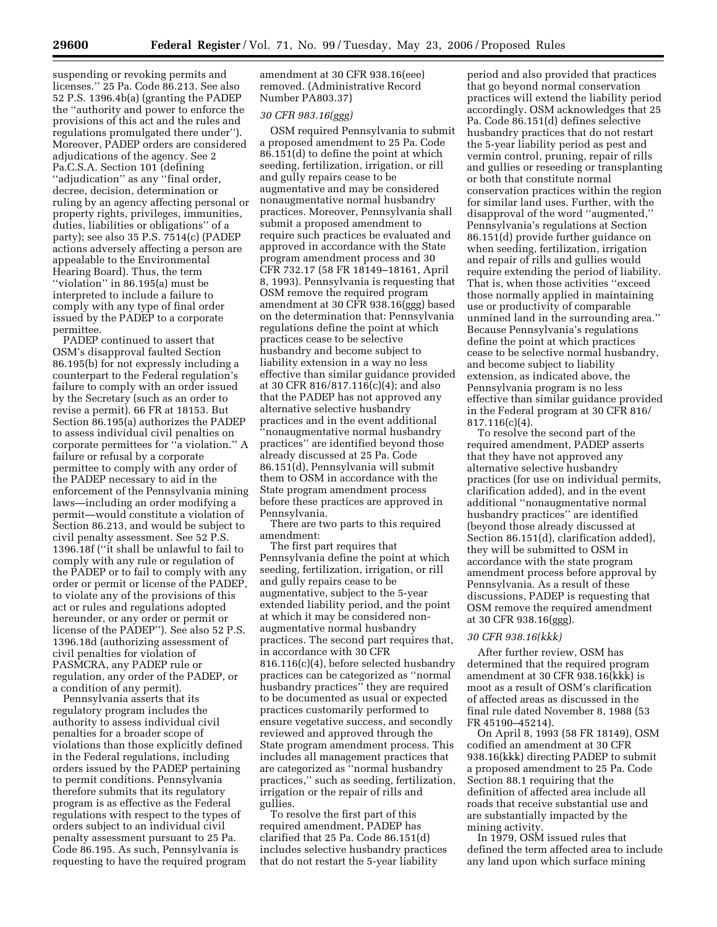suspending or revoking permits and licenses.'' 25 Pa. Code 86.213. See also 52 P.S. 1396.4b(a) (granting the PADEP the ''authority and power to enforce the provisions of this act and the rules and regulations promulgated there under''). Moreover, PADEP orders are considered adjudications of the agency. See 2 Pa.C.S.A. Section 101 (defining ''adjudication'' as any ''final order, decree, decision, determination or ruling by an agency affecting personal or property rights, privileges, immunities, duties, liabilities or obligations'' of a party); see also 35 P.S. 7514(c) (PADEP actions adversely affecting a person are appealable to the Environmental Hearing Board). Thus, the term ''violation'' in 86.195(a) must be interpreted to include a failure to comply with any type of final order issued by the PADEP to a corporate permittee.

PADEP continued to assert that OSM's disapproval faulted Section 86.195(b) for not expressly including a counterpart to the Federal regulation's failure to comply with an order issued by the Secretary (such as an order to revise a permit). 66 FR at 18153. But Section 86.195(a) authorizes the PADEP to assess individual civil penalties on corporate permittees for ''a violation.'' A failure or refusal by a corporate permittee to comply with any order of the PADEP necessary to aid in the enforcement of the Pennsylvania mining laws—including an order modifying a permit—would constitute a violation of Section 86.213, and would be subject to civil penalty assessment. See 52 P.S. 1396.18f (''it shall be unlawful to fail to comply with any rule or regulation of the PADEP or to fail to comply with any order or permit or license of the PADEP, to violate any of the provisions of this act or rules and regulations adopted hereunder, or any order or permit or license of the PADEP''). See also 52 P.S. 1396.18d (authorizing assessment of civil penalties for violation of PASMCRA, any PADEP rule or regulation, any order of the PADEP, or a condition of any permit).

Pennsylvania asserts that its regulatory program includes the authority to assess individual civil penalties for a broader scope of violations than those explicitly defined in the Federal regulations, including orders issued by the PADEP pertaining to permit conditions. Pennsylvania therefore submits that its regulatory program is as effective as the Federal regulations with respect to the types of orders subject to an individual civil penalty assessment pursuant to 25 Pa. Code 86.195. As such, Pennsylvania is requesting to have the required program

amendment at 30 CFR 938.16(eee) removed. (Administrative Record Number PA803.37)

# *30 CFR 983.16(ggg)*

OSM required Pennsylvania to submit a proposed amendment to 25 Pa. Code 86.151(d) to define the point at which seeding, fertilization, irrigation, or rill and gully repairs cease to be augmentative and may be considered nonaugmentative normal husbandry practices. Moreover, Pennsylvania shall submit a proposed amendment to require such practices be evaluated and approved in accordance with the State program amendment process and 30 CFR 732.17 (58 FR 18149–18161, April 8, 1993). Pennsylvania is requesting that OSM remove the required program amendment at 30 CFR 938.16(ggg) based on the determination that: Pennsylvania regulations define the point at which practices cease to be selective husbandry and become subject to liability extension in a way no less effective than similar guidance provided at 30 CFR 816/817.116(c)(4); and also that the PADEP has not approved any alternative selective husbandry practices and in the event additional ''nonaugmentative normal husbandry practices'' are identified beyond those already discussed at 25 Pa. Code 86.151(d), Pennsylvania will submit them to OSM in accordance with the State program amendment process before these practices are approved in Pennsylvania.

There are two parts to this required amendment:

The first part requires that Pennsylvania define the point at which seeding, fertilization, irrigation, or rill and gully repairs cease to be augmentative, subject to the 5-year extended liability period, and the point at which it may be considered nonaugmentative normal husbandry practices. The second part requires that, in accordance with 30 CFR 816.116(c)(4), before selected husbandry practices can be categorized as ''normal husbandry practices'' they are required to be documented as usual or expected practices customarily performed to ensure vegetative success, and secondly reviewed and approved through the State program amendment process. This includes all management practices that are categorized as ''normal husbandry practices,'' such as seeding, fertilization, irrigation or the repair of rills and gullies.

To resolve the first part of this required amendment, PADEP has clarified that 25 Pa. Code 86.151(d) includes selective husbandry practices that do not restart the 5-year liability

period and also provided that practices that go beyond normal conservation practices will extend the liability period accordingly. OSM acknowledges that 25 Pa. Code 86.151(d) defines selective husbandry practices that do not restart the 5-year liability period as pest and vermin control, pruning, repair of rills and gullies or reseeding or transplanting or both that constitute normal conservation practices within the region for similar land uses. Further, with the disapproval of the word ''augmented,'' Pennsylvania's regulations at Section 86.151(d) provide further guidance on when seeding, fertilization, irrigation and repair of rills and gullies would require extending the period of liability. That is, when those activities ''exceed those normally applied in maintaining use or productivity of comparable unmined land in the surrounding area.'' Because Pennsylvania's regulations define the point at which practices cease to be selective normal husbandry, and become subject to liability extension, as indicated above, the Pennsylvania program is no less effective than similar guidance provided in the Federal program at 30 CFR 816/ 817.116(c)(4).

To resolve the second part of the required amendment, PADEP asserts that they have not approved any alternative selective husbandry practices (for use on individual permits, clarification added), and in the event additional ''nonaugmentative normal husbandry practices'' are identified (beyond those already discussed at Section 86.151(d), clarification added), they will be submitted to OSM in accordance with the state program amendment process before approval by Pennsylvania. As a result of these discussions, PADEP is requesting that OSM remove the required amendment at 30 CFR 938.16(ggg).

## *30 CFR 938.16(kkk)*

After further review, OSM has determined that the required program amendment at 30 CFR 938.16(kkk) is moot as a result of OSM's clarification of affected areas as discussed in the final rule dated November 8, 1988 (53 FR 45190–45214).

On April 8, 1993 (58 FR 18149), OSM codified an amendment at 30 CFR 938.16(kkk) directing PADEP to submit a proposed amendment to 25 Pa. Code Section 88.1 requiring that the definition of affected area include all roads that receive substantial use and are substantially impacted by the mining activity.

In 1979, OSM issued rules that defined the term affected area to include any land upon which surface mining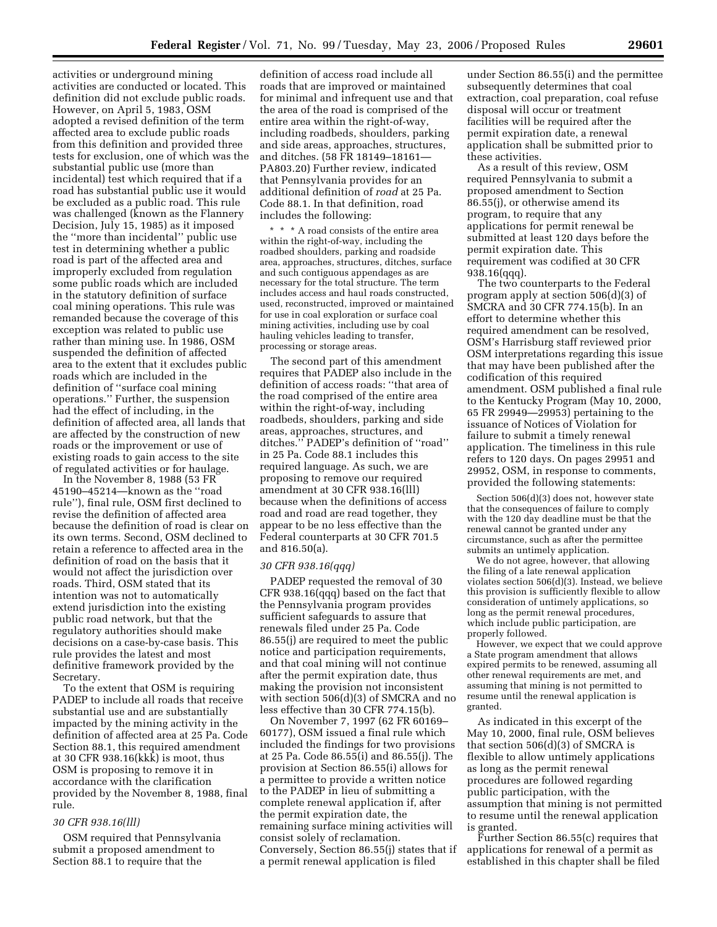activities or underground mining activities are conducted or located. This definition did not exclude public roads. However, on April 5, 1983, OSM adopted a revised definition of the term affected area to exclude public roads from this definition and provided three tests for exclusion, one of which was the substantial public use (more than incidental) test which required that if a road has substantial public use it would be excluded as a public road. This rule was challenged (known as the Flannery Decision, July 15, 1985) as it imposed the ''more than incidental'' public use test in determining whether a public road is part of the affected area and improperly excluded from regulation some public roads which are included in the statutory definition of surface coal mining operations. This rule was remanded because the coverage of this exception was related to public use rather than mining use. In 1986, OSM suspended the definition of affected area to the extent that it excludes public roads which are included in the definition of ''surface coal mining operations.'' Further, the suspension had the effect of including, in the definition of affected area, all lands that are affected by the construction of new roads or the improvement or use of existing roads to gain access to the site of regulated activities or for haulage.

In the November 8, 1988 (53 FR 45190–45214—known as the ''road rule''), final rule, OSM first declined to revise the definition of affected area because the definition of road is clear on its own terms. Second, OSM declined to retain a reference to affected area in the definition of road on the basis that it would not affect the jurisdiction over roads. Third, OSM stated that its intention was not to automatically extend jurisdiction into the existing public road network, but that the regulatory authorities should make decisions on a case-by-case basis. This rule provides the latest and most definitive framework provided by the Secretary.

To the extent that OSM is requiring PADEP to include all roads that receive substantial use and are substantially impacted by the mining activity in the definition of affected area at 25 Pa. Code Section 88.1, this required amendment at 30 CFR 938.16(kkk) is moot, thus OSM is proposing to remove it in accordance with the clarification provided by the November 8, 1988, final rule.

# *30 CFR 938.16(lll)*

OSM required that Pennsylvania submit a proposed amendment to Section 88.1 to require that the

definition of access road include all roads that are improved or maintained for minimal and infrequent use and that the area of the road is comprised of the entire area within the right-of-way, including roadbeds, shoulders, parking and side areas, approaches, structures, and ditches. (58 FR 18149–18161— PA803.20) Further review, indicated that Pennsylvania provides for an additional definition of *road* at 25 Pa. Code 88.1. In that definition, road includes the following:

\* \* \* A road consists of the entire area within the right-of-way, including the roadbed shoulders, parking and roadside area, approaches, structures, ditches, surface and such contiguous appendages as are necessary for the total structure. The term includes access and haul roads constructed, used, reconstructed, improved or maintained for use in coal exploration or surface coal mining activities, including use by coal hauling vehicles leading to transfer, processing or storage areas.

The second part of this amendment requires that PADEP also include in the definition of access roads: ''that area of the road comprised of the entire area within the right-of-way, including roadbeds, shoulders, parking and side areas, approaches, structures, and ditches.'' PADEP's definition of ''road'' in 25 Pa. Code 88.1 includes this required language. As such, we are proposing to remove our required amendment at 30 CFR 938.16(lll) because when the definitions of access road and road are read together, they appear to be no less effective than the Federal counterparts at 30 CFR 701.5 and 816.50(a).

### *30 CFR 938.16(qqq)*

PADEP requested the removal of 30 CFR 938.16(qqq) based on the fact that the Pennsylvania program provides sufficient safeguards to assure that renewals filed under 25 Pa. Code 86.55(j) are required to meet the public notice and participation requirements, and that coal mining will not continue after the permit expiration date, thus making the provision not inconsistent with section 506(d)(3) of SMCRA and no less effective than 30 CFR 774.15(b).

On November 7, 1997 (62 FR 60169– 60177), OSM issued a final rule which included the findings for two provisions at 25 Pa. Code 86.55(i) and 86.55(j). The provision at Section 86.55(i) allows for a permittee to provide a written notice to the PADEP in lieu of submitting a complete renewal application if, after the permit expiration date, the remaining surface mining activities will consist solely of reclamation. Conversely, Section 86.55(j) states that if a permit renewal application is filed

under Section 86.55(i) and the permittee subsequently determines that coal extraction, coal preparation, coal refuse disposal will occur or treatment facilities will be required after the permit expiration date, a renewal application shall be submitted prior to these activities.

As a result of this review, OSM required Pennsylvania to submit a proposed amendment to Section 86.55(j), or otherwise amend its program, to require that any applications for permit renewal be submitted at least 120 days before the permit expiration date. This requirement was codified at 30 CFR 938.16(qqq).

The two counterparts to the Federal program apply at section 506(d)(3) of SMCRA and 30 CFR 774.15(b). In an effort to determine whether this required amendment can be resolved, OSM's Harrisburg staff reviewed prior OSM interpretations regarding this issue that may have been published after the codification of this required amendment. OSM published a final rule to the Kentucky Program (May 10, 2000, 65 FR 29949—29953) pertaining to the issuance of Notices of Violation for failure to submit a timely renewal application. The timeliness in this rule refers to 120 days. On pages 29951 and 29952, OSM, in response to comments, provided the following statements:

Section 506(d)(3) does not, however state that the consequences of failure to comply with the 120 day deadline must be that the renewal cannot be granted under any circumstance, such as after the permittee submits an untimely application.

We do not agree, however, that allowing the filing of a late renewal application violates section 506(d)(3). Instead, we believe this provision is sufficiently flexible to allow consideration of untimely applications, so long as the permit renewal procedures, which include public participation, are properly followed.

However, we expect that we could approve a State program amendment that allows expired permits to be renewed, assuming all other renewal requirements are met, and assuming that mining is not permitted to resume until the renewal application is granted.

As indicated in this excerpt of the May 10, 2000, final rule, OSM believes that section 506(d)(3) of SMCRA is flexible to allow untimely applications as long as the permit renewal procedures are followed regarding public participation, with the assumption that mining is not permitted to resume until the renewal application is granted.

Further Section 86.55(c) requires that applications for renewal of a permit as established in this chapter shall be filed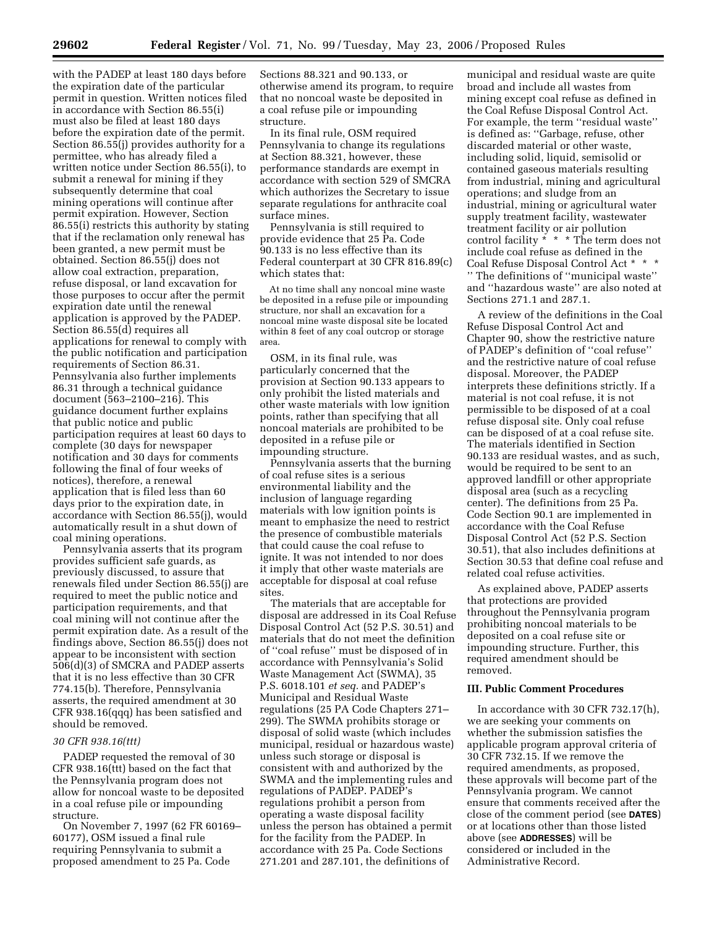with the PADEP at least 180 days before the expiration date of the particular permit in question. Written notices filed in accordance with Section 86.55(i) must also be filed at least 180 days before the expiration date of the permit. Section 86.55(j) provides authority for a permittee, who has already filed a written notice under Section 86.55(i), to submit a renewal for mining if they subsequently determine that coal mining operations will continue after permit expiration. However, Section 86.55(i) restricts this authority by stating that if the reclamation only renewal has been granted, a new permit must be obtained. Section 86.55(j) does not allow coal extraction, preparation, refuse disposal, or land excavation for those purposes to occur after the permit expiration date until the renewal application is approved by the PADEP. Section 86.55(d) requires all applications for renewal to comply with the public notification and participation requirements of Section 86.31. Pennsylvania also further implements 86.31 through a technical guidance document (563–2100–216). This guidance document further explains that public notice and public participation requires at least 60 days to complete (30 days for newspaper notification and 30 days for comments following the final of four weeks of notices), therefore, a renewal application that is filed less than 60 days prior to the expiration date, in accordance with Section 86.55(j), would automatically result in a shut down of coal mining operations.

Pennsylvania asserts that its program provides sufficient safe guards, as previously discussed, to assure that renewals filed under Section 86.55(j) are required to meet the public notice and participation requirements, and that coal mining will not continue after the permit expiration date. As a result of the findings above, Section 86.55(j) does not appear to be inconsistent with section 506(d)(3) of SMCRA and PADEP asserts that it is no less effective than 30 CFR 774.15(b). Therefore, Pennsylvania asserts, the required amendment at 30 CFR 938.16(qqq) has been satisfied and should be removed.

#### *30 CFR 938.16(ttt)*

PADEP requested the removal of 30 CFR 938.16(ttt) based on the fact that the Pennsylvania program does not allow for noncoal waste to be deposited in a coal refuse pile or impounding structure.

On November 7, 1997 (62 FR 60169– 60177), OSM issued a final rule requiring Pennsylvania to submit a proposed amendment to 25 Pa. Code

Sections 88.321 and 90.133, or otherwise amend its program, to require that no noncoal waste be deposited in a coal refuse pile or impounding structure.

In its final rule, OSM required Pennsylvania to change its regulations at Section 88.321, however, these performance standards are exempt in accordance with section 529 of SMCRA which authorizes the Secretary to issue separate regulations for anthracite coal surface mines.

Pennsylvania is still required to provide evidence that 25 Pa. Code 90.133 is no less effective than its Federal counterpart at 30 CFR 816.89(c) which states that:

At no time shall any noncoal mine waste be deposited in a refuse pile or impounding structure, nor shall an excavation for a noncoal mine waste disposal site be located within 8 feet of any coal outcrop or storage area.

OSM, in its final rule, was particularly concerned that the provision at Section 90.133 appears to only prohibit the listed materials and other waste materials with low ignition points, rather than specifying that all noncoal materials are prohibited to be deposited in a refuse pile or impounding structure.

Pennsylvania asserts that the burning of coal refuse sites is a serious environmental liability and the inclusion of language regarding materials with low ignition points is meant to emphasize the need to restrict the presence of combustible materials that could cause the coal refuse to ignite. It was not intended to nor does it imply that other waste materials are acceptable for disposal at coal refuse sites.

The materials that are acceptable for disposal are addressed in its Coal Refuse Disposal Control Act (52 P.S. 30.51) and materials that do not meet the definition of ''coal refuse'' must be disposed of in accordance with Pennsylvania's Solid Waste Management Act (SWMA), 35 P.S. 6018.101 *et seq.* and PADEP's Municipal and Residual Waste regulations (25 PA Code Chapters 271– 299). The SWMA prohibits storage or disposal of solid waste (which includes municipal, residual or hazardous waste) unless such storage or disposal is consistent with and authorized by the SWMA and the implementing rules and regulations of PADEP. PADEP's regulations prohibit a person from operating a waste disposal facility unless the person has obtained a permit for the facility from the PADEP. In accordance with 25 Pa. Code Sections 271.201 and 287.101, the definitions of

municipal and residual waste are quite broad and include all wastes from mining except coal refuse as defined in the Coal Refuse Disposal Control Act. For example, the term "residual waste" is defined as: ''Garbage, refuse, other discarded material or other waste, including solid, liquid, semisolid or contained gaseous materials resulting from industrial, mining and agricultural operations; and sludge from an industrial, mining or agricultural water supply treatment facility, wastewater treatment facility or air pollution control facility \* \* \* The term does not include coal refuse as defined in the Coal Refuse Disposal Control Act \* \* \* '' The definitions of ''municipal waste'' and ''hazardous waste'' are also noted at Sections 271.1 and 287.1.

A review of the definitions in the Coal Refuse Disposal Control Act and Chapter 90, show the restrictive nature of PADEP's definition of ''coal refuse'' and the restrictive nature of coal refuse disposal. Moreover, the PADEP interprets these definitions strictly. If a material is not coal refuse, it is not permissible to be disposed of at a coal refuse disposal site. Only coal refuse can be disposed of at a coal refuse site. The materials identified in Section 90.133 are residual wastes, and as such, would be required to be sent to an approved landfill or other appropriate disposal area (such as a recycling center). The definitions from 25 Pa. Code Section 90.1 are implemented in accordance with the Coal Refuse Disposal Control Act (52 P.S. Section 30.51), that also includes definitions at Section 30.53 that define coal refuse and related coal refuse activities.

As explained above, PADEP asserts that protections are provided throughout the Pennsylvania program prohibiting noncoal materials to be deposited on a coal refuse site or impounding structure. Further, this required amendment should be removed.

## **III. Public Comment Procedures**

In accordance with 30 CFR 732.17(h), we are seeking your comments on whether the submission satisfies the applicable program approval criteria of 30 CFR 732.15. If we remove the required amendments, as proposed, these approvals will become part of the Pennsylvania program. We cannot ensure that comments received after the close of the comment period (see **DATES**) or at locations other than those listed above (see **ADDRESSES**) will be considered or included in the Administrative Record.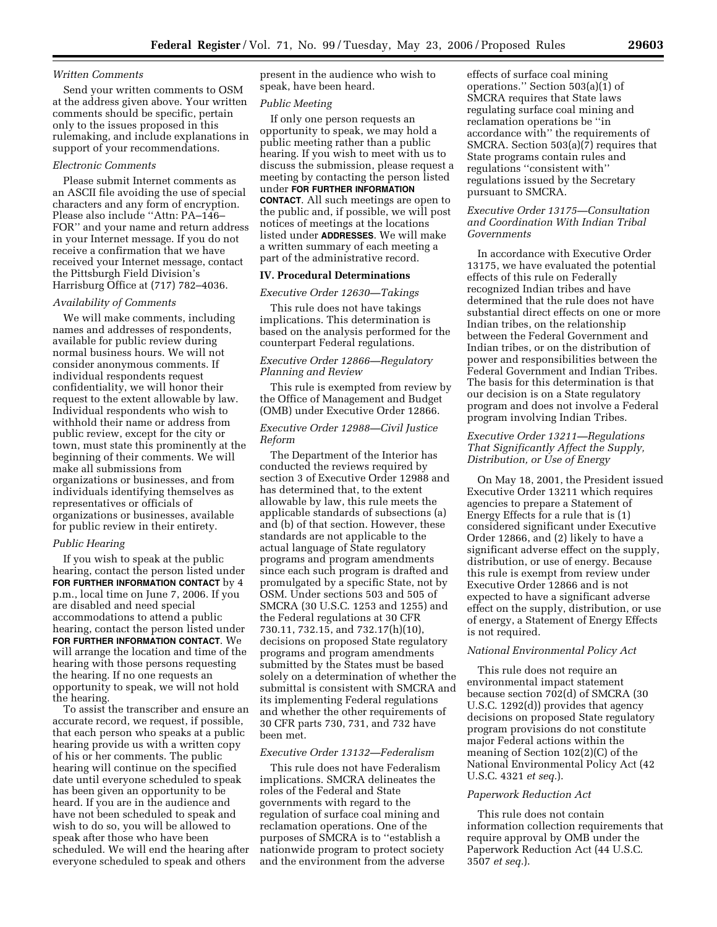# *Written Comments*

Send your written comments to OSM at the address given above. Your written comments should be specific, pertain only to the issues proposed in this rulemaking, and include explanations in support of your recommendations.

# *Electronic Comments*

Please submit Internet comments as an ASCII file avoiding the use of special characters and any form of encryption. Please also include ''Attn: PA–146– FOR'' and your name and return address in your Internet message. If you do not receive a confirmation that we have received your Internet message, contact the Pittsburgh Field Division's Harrisburg Office at (717) 782–4036.

# *Availability of Comments*

We will make comments, including names and addresses of respondents, available for public review during normal business hours. We will not consider anonymous comments. If individual respondents request confidentiality, we will honor their request to the extent allowable by law. Individual respondents who wish to withhold their name or address from public review, except for the city or town, must state this prominently at the beginning of their comments. We will make all submissions from organizations or businesses, and from individuals identifying themselves as representatives or officials of organizations or businesses, available for public review in their entirety.

#### *Public Hearing*

If you wish to speak at the public hearing, contact the person listed under **FOR FURTHER INFORMATION CONTACT** by 4 p.m., local time on June 7, 2006. If you are disabled and need special accommodations to attend a public hearing, contact the person listed under **FOR FURTHER INFORMATION CONTACT**. We will arrange the location and time of the hearing with those persons requesting the hearing. If no one requests an opportunity to speak, we will not hold the hearing.

To assist the transcriber and ensure an accurate record, we request, if possible, that each person who speaks at a public hearing provide us with a written copy of his or her comments. The public hearing will continue on the specified date until everyone scheduled to speak has been given an opportunity to be heard. If you are in the audience and have not been scheduled to speak and wish to do so, you will be allowed to speak after those who have been scheduled. We will end the hearing after everyone scheduled to speak and others

present in the audience who wish to speak, have been heard.

### *Public Meeting*

If only one person requests an opportunity to speak, we may hold a public meeting rather than a public hearing. If you wish to meet with us to discuss the submission, please request a meeting by contacting the person listed under **FOR FURTHER INFORMATION CONTACT**. All such meetings are open to the public and, if possible, we will post notices of meetings at the locations listed under **ADDRESSES**. We will make a written summary of each meeting a part of the administrative record.

# **IV. Procedural Determinations**

#### *Executive Order 12630—Takings*

This rule does not have takings implications. This determination is based on the analysis performed for the counterpart Federal regulations.

## *Executive Order 12866—Regulatory Planning and Review*

This rule is exempted from review by the Office of Management and Budget (OMB) under Executive Order 12866.

## *Executive Order 12988—Civil Justice Reform*

The Department of the Interior has conducted the reviews required by section 3 of Executive Order 12988 and has determined that, to the extent allowable by law, this rule meets the applicable standards of subsections (a) and (b) of that section. However, these standards are not applicable to the actual language of State regulatory programs and program amendments since each such program is drafted and promulgated by a specific State, not by OSM. Under sections 503 and 505 of SMCRA (30 U.S.C. 1253 and 1255) and the Federal regulations at 30 CFR 730.11, 732.15, and 732.17(h)(10), decisions on proposed State regulatory programs and program amendments submitted by the States must be based solely on a determination of whether the submittal is consistent with SMCRA and its implementing Federal regulations and whether the other requirements of 30 CFR parts 730, 731, and 732 have been met.

## *Executive Order 13132—Federalism*

This rule does not have Federalism implications. SMCRA delineates the roles of the Federal and State governments with regard to the regulation of surface coal mining and reclamation operations. One of the purposes of SMCRA is to ''establish a nationwide program to protect society and the environment from the adverse

effects of surface coal mining operations." Section  $503(a)(1)$  of SMCRA requires that State laws regulating surface coal mining and reclamation operations be ''in accordance with'' the requirements of SMCRA. Section 503(a)(7) requires that State programs contain rules and regulations ''consistent with'' regulations issued by the Secretary pursuant to SMCRA.

# *Executive Order 13175—Consultation and Coordination With Indian Tribal Governments*

In accordance with Executive Order 13175, we have evaluated the potential effects of this rule on Federally recognized Indian tribes and have determined that the rule does not have substantial direct effects on one or more Indian tribes, on the relationship between the Federal Government and Indian tribes, or on the distribution of power and responsibilities between the Federal Government and Indian Tribes. The basis for this determination is that our decision is on a State regulatory program and does not involve a Federal program involving Indian Tribes.

# *Executive Order 13211—Regulations That Significantly Affect the Supply, Distribution, or Use of Energy*

On May 18, 2001, the President issued Executive Order 13211 which requires agencies to prepare a Statement of Energy Effects for a rule that is (1) considered significant under Executive Order 12866, and (2) likely to have a significant adverse effect on the supply, distribution, or use of energy. Because this rule is exempt from review under Executive Order 12866 and is not expected to have a significant adverse effect on the supply, distribution, or use of energy, a Statement of Energy Effects is not required.

## *National Environmental Policy Act*

This rule does not require an environmental impact statement because section 702(d) of SMCRA (30 U.S.C. 1292(d)) provides that agency decisions on proposed State regulatory program provisions do not constitute major Federal actions within the meaning of Section 102(2)(C) of the National Environmental Policy Act (42 U.S.C. 4321 *et seq.*).

### *Paperwork Reduction Act*

This rule does not contain information collection requirements that require approval by OMB under the Paperwork Reduction Act (44 U.S.C. 3507 *et seq.*).